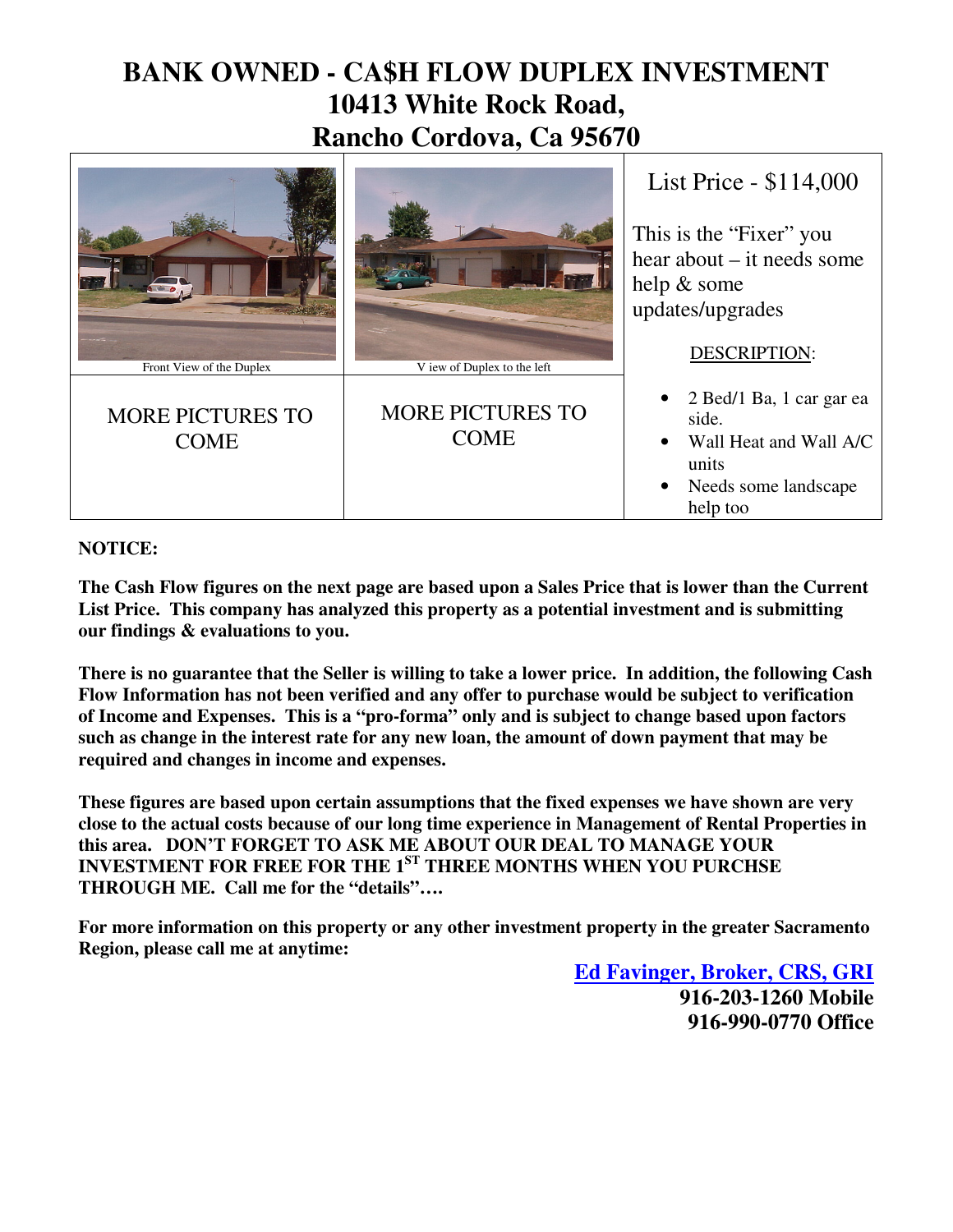## **BANK OWNED - CA\$H FLOW DUPLEX INVESTMENT 10413 White Rock Road, Rancho Cordova, Ca 95670**



## **NOTICE:**

**The Cash Flow figures on the next page are based upon a Sales Price that is lower than the Current List Price. This company has analyzed this property as a potential investment and is submitting our findings & evaluations to you.** 

**There is no guarantee that the Seller is willing to take a lower price. In addition, the following Cash Flow Information has not been verified and any offer to purchase would be subject to verification of Income and Expenses. This is a "pro-forma" only and is subject to change based upon factors such as change in the interest rate for any new loan, the amount of down payment that may be required and changes in income and expenses.** 

**These figures are based upon certain assumptions that the fixed expenses we have shown are very close to the actual costs because of our long time experience in Management of Rental Properties in this area. DON'T FORGET TO ASK ME ABOUT OUR DEAL TO MANAGE YOUR INVESTMENT FOR FREE FOR THE 1ST THREE MONTHS WHEN YOU PURCHSE THROUGH ME. Call me for the "details"….**

**For more information on this property or any other investment property in the greater Sacramento Region, please call me at anytime:** 

> **Ed Favinger, Broker, CRS, GRI 916-203-1260 Mobile 916-990-0770 Office**